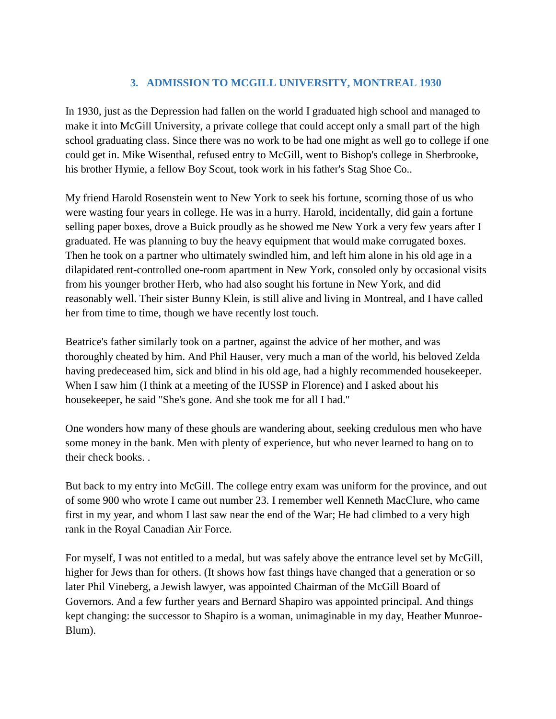# **3. ADMISSION TO MCGILL UNIVERSITY, MONTREAL 1930**

In 1930, just as the Depression had fallen on the world I graduated high school and managed to make it into McGill University, a private college that could accept only a small part of the high school graduating class. Since there was no work to be had one might as well go to college if one could get in. Mike Wisenthal, refused entry to McGill, went to Bishop's college in Sherbrooke, his brother Hymie, a fellow Boy Scout, took work in his father's Stag Shoe Co..

My friend Harold Rosenstein went to New York to seek his fortune, scorning those of us who were wasting four years in college. He was in a hurry. Harold, incidentally, did gain a fortune selling paper boxes, drove a Buick proudly as he showed me New York a very few years after I graduated. He was planning to buy the heavy equipment that would make corrugated boxes. Then he took on a partner who ultimately swindled him, and left him alone in his old age in a dilapidated rent-controlled one-room apartment in New York, consoled only by occasional visits from his younger brother Herb, who had also sought his fortune in New York, and did reasonably well. Their sister Bunny Klein, is still alive and living in Montreal, and I have called her from time to time, though we have recently lost touch.

Beatrice's father similarly took on a partner, against the advice of her mother, and was thoroughly cheated by him. And Phil Hauser, very much a man of the world, his beloved Zelda having predeceased him, sick and blind in his old age, had a highly recommended housekeeper. When I saw him (I think at a meeting of the IUSSP in Florence) and I asked about his housekeeper, he said "She's gone. And she took me for all I had."

One wonders how many of these ghouls are wandering about, seeking credulous men who have some money in the bank. Men with plenty of experience, but who never learned to hang on to their check books. .

But back to my entry into McGill. The college entry exam was uniform for the province, and out of some 900 who wrote I came out number 23. I remember well Kenneth MacClure, who came first in my year, and whom I last saw near the end of the War; He had climbed to a very high rank in the Royal Canadian Air Force.

For myself, I was not entitled to a medal, but was safely above the entrance level set by McGill, higher for Jews than for others. (It shows how fast things have changed that a generation or so later Phil Vineberg, a Jewish lawyer, was appointed Chairman of the McGill Board of Governors. And a few further years and Bernard Shapiro was appointed principal. And things kept changing: the successor to Shapiro is a woman, unimaginable in my day, Heather Munroe-Blum).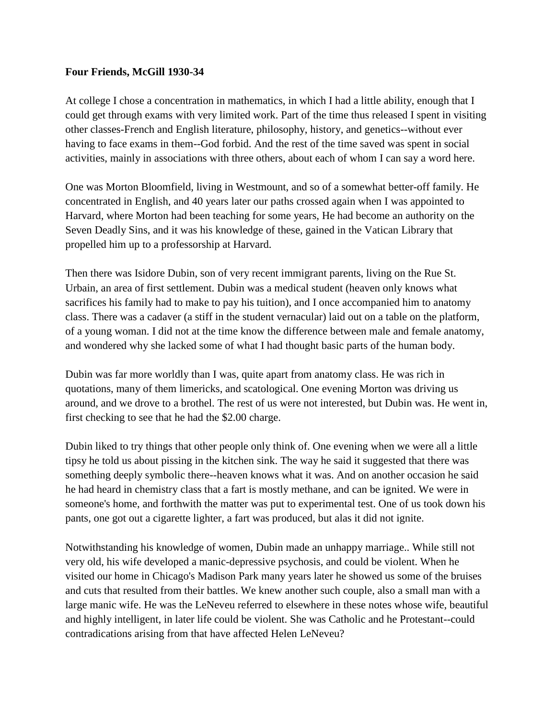#### **Four Friends, McGill 1930-34**

At college I chose a concentration in mathematics, in which I had a little ability, enough that I could get through exams with very limited work. Part of the time thus released I spent in visiting other classes-French and English literature, philosophy, history, and genetics--without ever having to face exams in them--God forbid. And the rest of the time saved was spent in social activities, mainly in associations with three others, about each of whom I can say a word here.

One was Morton Bloomfield, living in Westmount, and so of a somewhat better-off family. He concentrated in English, and 40 years later our paths crossed again when I was appointed to Harvard, where Morton had been teaching for some years, He had become an authority on the Seven Deadly Sins, and it was his knowledge of these, gained in the Vatican Library that propelled him up to a professorship at Harvard.

Then there was Isidore Dubin, son of very recent immigrant parents, living on the Rue St. Urbain, an area of first settlement. Dubin was a medical student (heaven only knows what sacrifices his family had to make to pay his tuition), and I once accompanied him to anatomy class. There was a cadaver (a stiff in the student vernacular) laid out on a table on the platform, of a young woman. I did not at the time know the difference between male and female anatomy, and wondered why she lacked some of what I had thought basic parts of the human body.

Dubin was far more worldly than I was, quite apart from anatomy class. He was rich in quotations, many of them limericks, and scatological. One evening Morton was driving us around, and we drove to a brothel. The rest of us were not interested, but Dubin was. He went in, first checking to see that he had the \$2.00 charge.

Dubin liked to try things that other people only think of. One evening when we were all a little tipsy he told us about pissing in the kitchen sink. The way he said it suggested that there was something deeply symbolic there--heaven knows what it was. And on another occasion he said he had heard in chemistry class that a fart is mostly methane, and can be ignited. We were in someone's home, and forthwith the matter was put to experimental test. One of us took down his pants, one got out a cigarette lighter, a fart was produced, but alas it did not ignite.

Notwithstanding his knowledge of women, Dubin made an unhappy marriage.. While still not very old, his wife developed a manic-depressive psychosis, and could be violent. When he visited our home in Chicago's Madison Park many years later he showed us some of the bruises and cuts that resulted from their battles. We knew another such couple, also a small man with a large manic wife. He was the LeNeveu referred to elsewhere in these notes whose wife, beautiful and highly intelligent, in later life could be violent. She was Catholic and he Protestant--could contradications arising from that have affected Helen LeNeveu?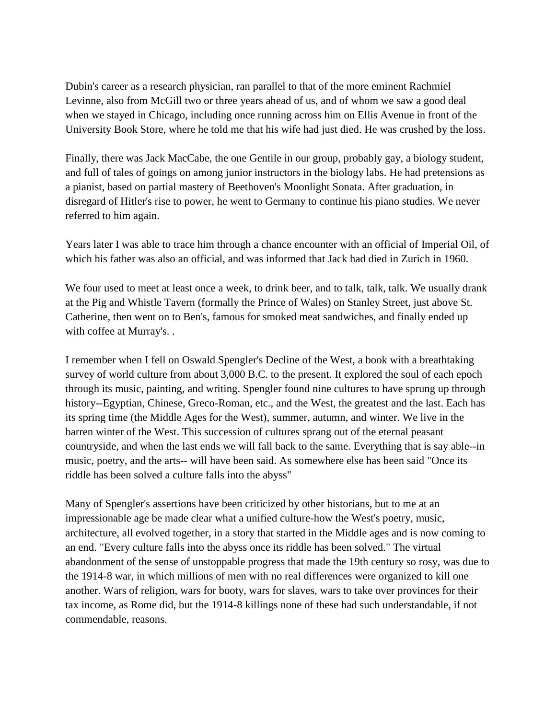Dubin's career as a research physician, ran parallel to that of the more eminent Rachmiel Levinne, also from McGill two or three years ahead of us, and of whom we saw a good deal when we stayed in Chicago, including once running across him on Ellis Avenue in front of the University Book Store, where he told me that his wife had just died. He was crushed by the loss.

Finally, there was Jack MacCabe, the one Gentile in our group, probably gay, a biology student, and full of tales of goings on among junior instructors in the biology labs. He had pretensions as a pianist, based on partial mastery of Beethoven's Moonlight Sonata. After graduation, in disregard of Hitler's rise to power, he went to Germany to continue his piano studies. We never referred to him again.

Years later I was able to trace him through a chance encounter with an official of Imperial Oil, of which his father was also an official, and was informed that Jack had died in Zurich in 1960.

We four used to meet at least once a week, to drink beer, and to talk, talk, talk. We usually drank at the Pig and Whistle Tavern (formally the Prince of Wales) on Stanley Street, just above St. Catherine, then went on to Ben's, famous for smoked meat sandwiches, and finally ended up with coffee at Murray's. .

I remember when I fell on Oswald Spengler's Decline of the West, a book with a breathtaking survey of world culture from about 3,000 B.C. to the present. It explored the soul of each epoch through its music, painting, and writing. Spengler found nine cultures to have sprung up through history--Egyptian, Chinese, Greco-Roman, etc., and the West, the greatest and the last. Each has its spring time (the Middle Ages for the West), summer, autumn, and winter. We live in the barren winter of the West. This succession of cultures sprang out of the eternal peasant countryside, and when the last ends we will fall back to the same. Everything that is say able--in music, poetry, and the arts-- will have been said. As somewhere else has been said "Once its riddle has been solved a culture falls into the abyss"

Many of Spengler's assertions have been criticized by other historians, but to me at an impressionable age be made clear what a unified culture-how the West's poetry, music, architecture, all evolved together, in a story that started in the Middle ages and is now coming to an end. "Every culture falls into the abyss once its riddle has been solved." The virtual abandonment of the sense of unstoppable progress that made the 19th century so rosy, was due to the 1914-8 war, in which millions of men with no real differences were organized to kill one another. Wars of religion, wars for booty, wars for slaves, wars to take over provinces for their tax income, as Rome did, but the 1914-8 killings none of these had such understandable, if not commendable, reasons.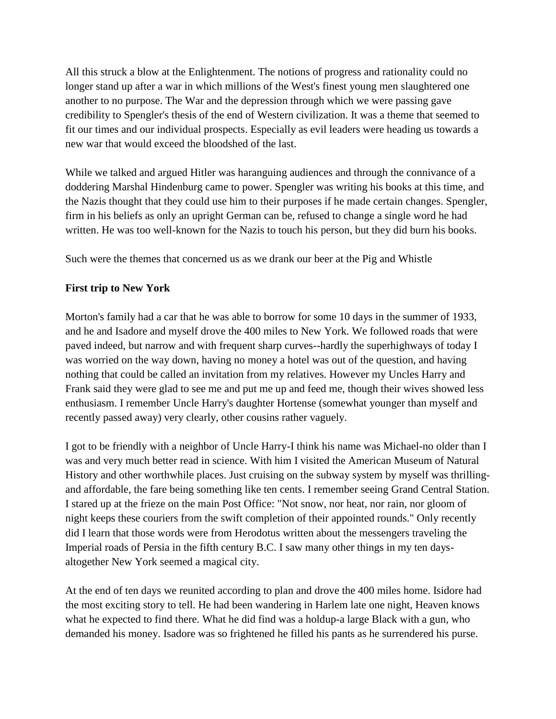All this struck a blow at the Enlightenment. The notions of progress and rationality could no longer stand up after a war in which millions of the West's finest young men slaughtered one another to no purpose. The War and the depression through which we were passing gave credibility to Spengler's thesis of the end of Western civilization. It was a theme that seemed to fit our times and our individual prospects. Especially as evil leaders were heading us towards a new war that would exceed the bloodshed of the last.

While we talked and argued Hitler was haranguing audiences and through the connivance of a doddering Marshal Hindenburg came to power. Spengler was writing his books at this time, and the Nazis thought that they could use him to their purposes if he made certain changes. Spengler, firm in his beliefs as only an upright German can be, refused to change a single word he had written. He was too well-known for the Nazis to touch his person, but they did burn his books.

Such were the themes that concerned us as we drank our beer at the Pig and Whistle

## **First trip to New York**

Morton's family had a car that he was able to borrow for some 10 days in the summer of 1933, and he and Isadore and myself drove the 400 miles to New York. We followed roads that were paved indeed, but narrow and with frequent sharp curves--hardly the superhighways of today I was worried on the way down, having no money a hotel was out of the question, and having nothing that could be called an invitation from my relatives. However my Uncles Harry and Frank said they were glad to see me and put me up and feed me, though their wives showed less enthusiasm. I remember Uncle Harry's daughter Hortense (somewhat younger than myself and recently passed away) very clearly, other cousins rather vaguely.

I got to be friendly with a neighbor of Uncle Harry-I think his name was Michael-no older than I was and very much better read in science. With him I visited the American Museum of Natural History and other worthwhile places. Just cruising on the subway system by myself was thrillingand affordable, the fare being something like ten cents. I remember seeing Grand Central Station. I stared up at the frieze on the main Post Office: "Not snow, nor heat, nor rain, nor gloom of night keeps these couriers from the swift completion of their appointed rounds." Only recently did I learn that those words were from Herodotus written about the messengers traveling the Imperial roads of Persia in the fifth century B.C. I saw many other things in my ten daysaltogether New York seemed a magical city.

At the end of ten days we reunited according to plan and drove the 400 miles home. Isidore had the most exciting story to tell. He had been wandering in Harlem late one night, Heaven knows what he expected to find there. What he did find was a holdup-a large Black with a gun, who demanded his money. Isadore was so frightened he filled his pants as he surrendered his purse.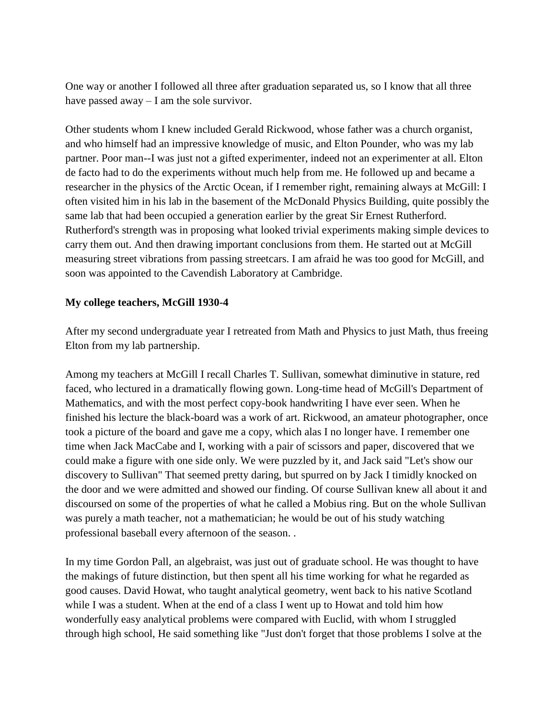One way or another I followed all three after graduation separated us, so I know that all three have passed away – I am the sole survivor.

Other students whom I knew included Gerald Rickwood, whose father was a church organist, and who himself had an impressive knowledge of music, and Elton Pounder, who was my lab partner. Poor man--I was just not a gifted experimenter, indeed not an experimenter at all. Elton de facto had to do the experiments without much help from me. He followed up and became a researcher in the physics of the Arctic Ocean, if I remember right, remaining always at McGill: I often visited him in his lab in the basement of the McDonald Physics Building, quite possibly the same lab that had been occupied a generation earlier by the great Sir Ernest Rutherford. Rutherford's strength was in proposing what looked trivial experiments making simple devices to carry them out. And then drawing important conclusions from them. He started out at McGill measuring street vibrations from passing streetcars. I am afraid he was too good for McGill, and soon was appointed to the Cavendish Laboratory at Cambridge.

#### **My college teachers, McGill 1930-4**

After my second undergraduate year I retreated from Math and Physics to just Math, thus freeing Elton from my lab partnership.

Among my teachers at McGill I recall Charles T. Sullivan, somewhat diminutive in stature, red faced, who lectured in a dramatically flowing gown. Long-time head of McGill's Department of Mathematics, and with the most perfect copy-book handwriting I have ever seen. When he finished his lecture the black-board was a work of art. Rickwood, an amateur photographer, once took a picture of the board and gave me a copy, which alas I no longer have. I remember one time when Jack MacCabe and I, working with a pair of scissors and paper, discovered that we could make a figure with one side only. We were puzzled by it, and Jack said "Let's show our discovery to Sullivan" That seemed pretty daring, but spurred on by Jack I timidly knocked on the door and we were admitted and showed our finding. Of course Sullivan knew all about it and discoursed on some of the properties of what he called a Mobius ring. But on the whole Sullivan was purely a math teacher, not a mathematician; he would be out of his study watching professional baseball every afternoon of the season. .

In my time Gordon Pall, an algebraist, was just out of graduate school. He was thought to have the makings of future distinction, but then spent all his time working for what he regarded as good causes. David Howat, who taught analytical geometry, went back to his native Scotland while I was a student. When at the end of a class I went up to Howat and told him how wonderfully easy analytical problems were compared with Euclid, with whom I struggled through high school, He said something like "Just don't forget that those problems I solve at the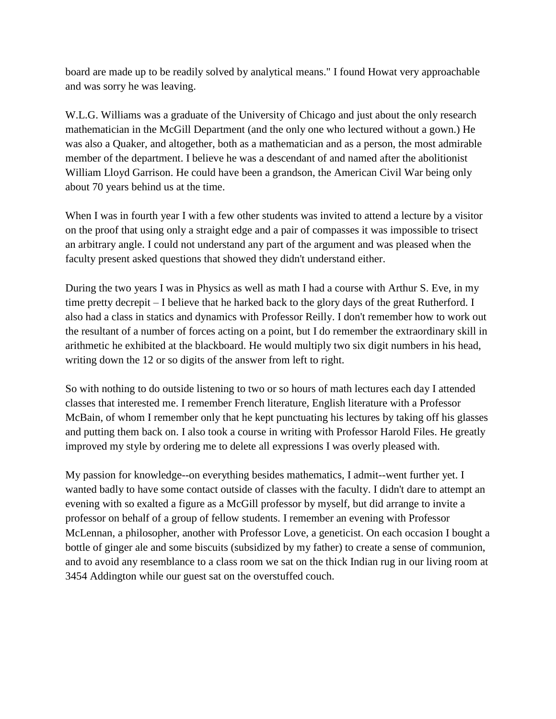board are made up to be readily solved by analytical means." I found Howat very approachable and was sorry he was leaving.

W.L.G. Williams was a graduate of the University of Chicago and just about the only research mathematician in the McGill Department (and the only one who lectured without a gown.) He was also a Quaker, and altogether, both as a mathematician and as a person, the most admirable member of the department. I believe he was a descendant of and named after the abolitionist William Lloyd Garrison. He could have been a grandson, the American Civil War being only about 70 years behind us at the time.

When I was in fourth year I with a few other students was invited to attend a lecture by a visitor on the proof that using only a straight edge and a pair of compasses it was impossible to trisect an arbitrary angle. I could not understand any part of the argument and was pleased when the faculty present asked questions that showed they didn't understand either.

During the two years I was in Physics as well as math I had a course with Arthur S. Eve, in my time pretty decrepit – I believe that he harked back to the glory days of the great Rutherford. I also had a class in statics and dynamics with Professor Reilly. I don't remember how to work out the resultant of a number of forces acting on a point, but I do remember the extraordinary skill in arithmetic he exhibited at the blackboard. He would multiply two six digit numbers in his head, writing down the 12 or so digits of the answer from left to right.

So with nothing to do outside listening to two or so hours of math lectures each day I attended classes that interested me. I remember French literature, English literature with a Professor McBain, of whom I remember only that he kept punctuating his lectures by taking off his glasses and putting them back on. I also took a course in writing with Professor Harold Files. He greatly improved my style by ordering me to delete all expressions I was overly pleased with.

My passion for knowledge--on everything besides mathematics, I admit--went further yet. I wanted badly to have some contact outside of classes with the faculty. I didn't dare to attempt an evening with so exalted a figure as a McGill professor by myself, but did arrange to invite a professor on behalf of a group of fellow students. I remember an evening with Professor McLennan, a philosopher, another with Professor Love, a geneticist. On each occasion I bought a bottle of ginger ale and some biscuits (subsidized by my father) to create a sense of communion, and to avoid any resemblance to a class room we sat on the thick Indian rug in our living room at 3454 Addington while our guest sat on the overstuffed couch.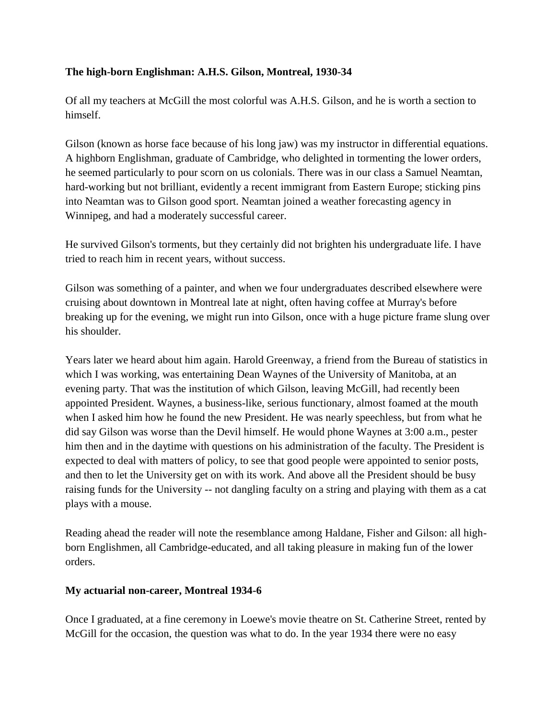### **The high-born Englishman: A.H.S. Gilson, Montreal, 1930-34**

Of all my teachers at McGill the most colorful was A.H.S. Gilson, and he is worth a section to himself.

Gilson (known as horse face because of his long jaw) was my instructor in differential equations. A highborn Englishman, graduate of Cambridge, who delighted in tormenting the lower orders, he seemed particularly to pour scorn on us colonials. There was in our class a Samuel Neamtan, hard-working but not brilliant, evidently a recent immigrant from Eastern Europe; sticking pins into Neamtan was to Gilson good sport. Neamtan joined a weather forecasting agency in Winnipeg, and had a moderately successful career.

He survived Gilson's torments, but they certainly did not brighten his undergraduate life. I have tried to reach him in recent years, without success.

Gilson was something of a painter, and when we four undergraduates described elsewhere were cruising about downtown in Montreal late at night, often having coffee at Murray's before breaking up for the evening, we might run into Gilson, once with a huge picture frame slung over his shoulder.

Years later we heard about him again. Harold Greenway, a friend from the Bureau of statistics in which I was working, was entertaining Dean Waynes of the University of Manitoba, at an evening party. That was the institution of which Gilson, leaving McGill, had recently been appointed President. Waynes, a business-like, serious functionary, almost foamed at the mouth when I asked him how he found the new President. He was nearly speechless, but from what he did say Gilson was worse than the Devil himself. He would phone Waynes at 3:00 a.m., pester him then and in the daytime with questions on his administration of the faculty. The President is expected to deal with matters of policy, to see that good people were appointed to senior posts, and then to let the University get on with its work. And above all the President should be busy raising funds for the University -- not dangling faculty on a string and playing with them as a cat plays with a mouse.

Reading ahead the reader will note the resemblance among Haldane, Fisher and Gilson: all highborn Englishmen, all Cambridge-educated, and all taking pleasure in making fun of the lower orders.

#### **My actuarial non-career, Montreal 1934-6**

Once I graduated, at a fine ceremony in Loewe's movie theatre on St. Catherine Street, rented by McGill for the occasion, the question was what to do. In the year 1934 there were no easy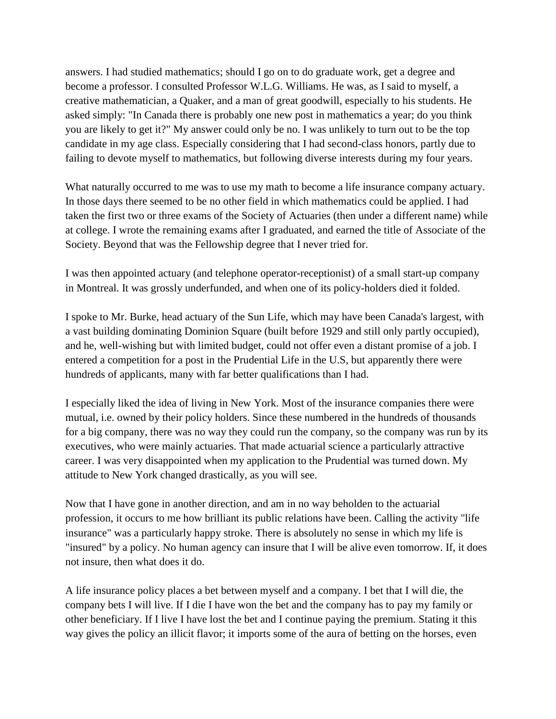answers. I had studied mathematics; should I go on to do graduate work, get a degree and become a professor. I consulted Professor W.L.G. Williams. He was, as I said to myself, a creative mathematician, a Quaker, and a man of great goodwill, especially to his students. He asked simply: "In Canada there is probably one new post in mathematics a year; do you think you are likely to get it?" My answer could only be no. I was unlikely to turn out to be the top candidate in my age class. Especially considering that I had second-class honors, partly due to failing to devote myself to mathematics, but following diverse interests during my four years.

What naturally occurred to me was to use my math to become a life insurance company actuary. In those days there seemed to be no other field in which mathematics could be applied. I had taken the first two or three exams of the Society of Actuaries (then under a different name) while at college. I wrote the remaining exams after I graduated, and earned the title of Associate of the Society. Beyond that was the Fellowship degree that I never tried for.

I was then appointed actuary (and telephone operator-receptionist) of a small start-up company in Montreal. It was grossly underfunded, and when one of its policy-holders died it folded.

I spoke to Mr. Burke, head actuary of the Sun Life, which may have been Canada's largest, with a vast building dominating Dominion Square (built before 1929 and still only partly occupied), and he, well-wishing but with limited budget, could not offer even a distant promise of a job. I entered a competition for a post in the Prudential Life in the U.S, but apparently there were hundreds of applicants, many with far better qualifications than I had.

I especially liked the idea of living in New York. Most of the insurance companies there were mutual, i.e. owned by their policy holders. Since these numbered in the hundreds of thousands for a big company, there was no way they could run the company, so the company was run by its executives, who were mainly actuaries. That made actuarial science a particularly attractive career. I was very disappointed when my application to the Prudential was turned down. My attitude to New York changed drastically, as you will see.

Now that I have gone in another direction, and am in no way beholden to the actuarial profession, it occurs to me how brilliant its public relations have been. Calling the activity "life insurance" was a particularly happy stroke. There is absolutely no sense in which my life is "insured" by a policy. No human agency can insure that I will be alive even tomorrow. If, it does not insure, then what does it do.

A life insurance policy places a bet between myself and a company. I bet that I will die, the company bets I will live. If I die I have won the bet and the company has to pay my family or other beneficiary. If I live I have lost the bet and I continue paying the premium. Stating it this way gives the policy an illicit flavor; it imports some of the aura of betting on the horses, even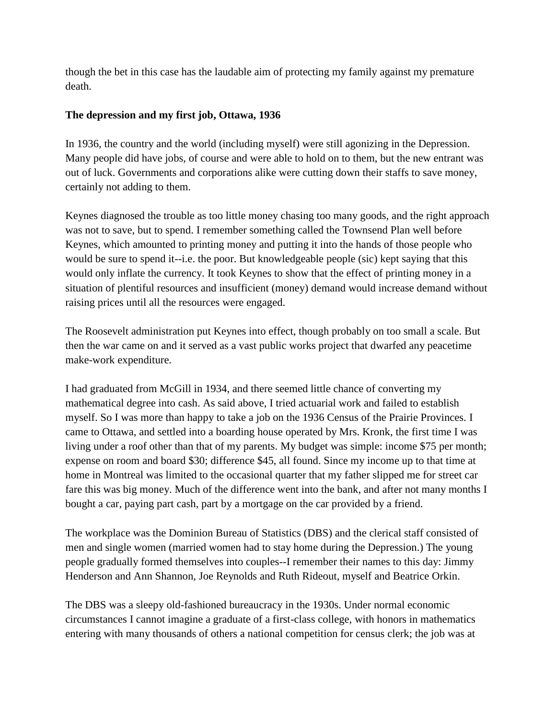though the bet in this case has the laudable aim of protecting my family against my premature death.

## **The depression and my first job, Ottawa, 1936**

In 1936, the country and the world (including myself) were still agonizing in the Depression. Many people did have jobs, of course and were able to hold on to them, but the new entrant was out of luck. Governments and corporations alike were cutting down their staffs to save money, certainly not adding to them.

Keynes diagnosed the trouble as too little money chasing too many goods, and the right approach was not to save, but to spend. I remember something called the Townsend Plan well before Keynes, which amounted to printing money and putting it into the hands of those people who would be sure to spend it--i.e. the poor. But knowledgeable people (sic) kept saying that this would only inflate the currency. It took Keynes to show that the effect of printing money in a situation of plentiful resources and insufficient (money) demand would increase demand without raising prices until all the resources were engaged.

The Roosevelt administration put Keynes into effect, though probably on too small a scale. But then the war came on and it served as a vast public works project that dwarfed any peacetime make-work expenditure.

I had graduated from McGill in 1934, and there seemed little chance of converting my mathematical degree into cash. As said above, I tried actuarial work and failed to establish myself. So I was more than happy to take a job on the 1936 Census of the Prairie Provinces. I came to Ottawa, and settled into a boarding house operated by Mrs. Kronk, the first time I was living under a roof other than that of my parents. My budget was simple: income \$75 per month; expense on room and board \$30; difference \$45, all found. Since my income up to that time at home in Montreal was limited to the occasional quarter that my father slipped me for street car fare this was big money. Much of the difference went into the bank, and after not many months I bought a car, paying part cash, part by a mortgage on the car provided by a friend.

The workplace was the Dominion Bureau of Statistics (DBS) and the clerical staff consisted of men and single women (married women had to stay home during the Depression.) The young people gradually formed themselves into couples--I remember their names to this day: Jimmy Henderson and Ann Shannon, Joe Reynolds and Ruth Rideout, myself and Beatrice Orkin.

The DBS was a sleepy old-fashioned bureaucracy in the 1930s. Under normal economic circumstances I cannot imagine a graduate of a first-class college, with honors in mathematics entering with many thousands of others a national competition for census clerk; the job was at